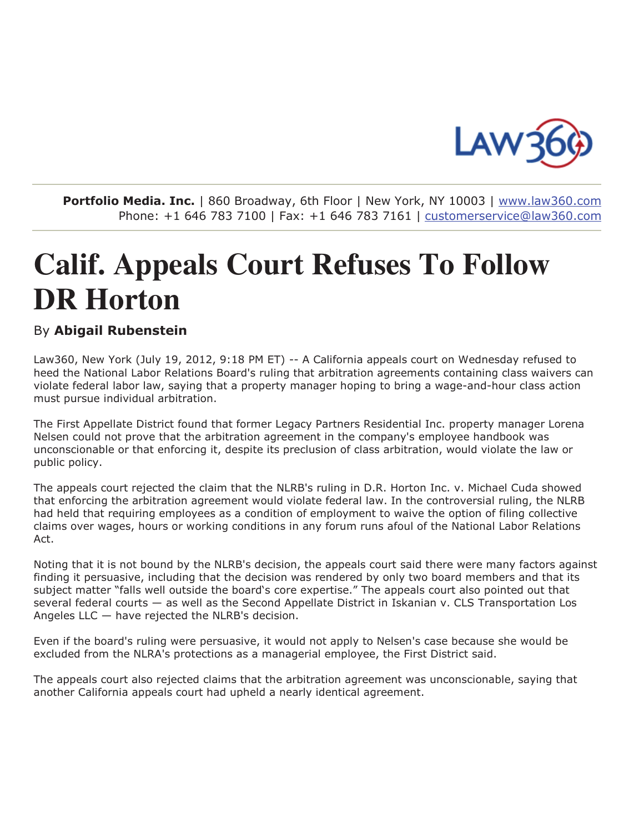

Portfolio Media. Inc. | 860 Broadway, 6th Floor | New York, NY 10003 | www.law360.com Phone: +1 646 783 7100 | Fax: +1 646 783 7161 | customerservice@law360.com

## **Calif. Appeals Court Refuses To Follow DR Horton**

## By Abigail Rubenstein

Law360, New York (July 19, 2012, 9:18 PM ET) -- A California appeals court on Wednesday refused to heed the National Labor Relations Board's ruling that arbitration agreements containing class waivers can violate federal labor law, saying that a property manager hoping to bring a wage-and-hour class action must pursue individual arbitration.

The First Appellate District found that former Legacy Partners Residential Inc. property manager Lorena Nelsen could not prove that the arbitration agreement in the company's employee handbook was unconscionable or that enforcing it, despite its preclusion of class arbitration, would violate the law or public policy.

The appeals court rejected the claim that the NLRB's ruling in D.R. Horton Inc. v. Michael Cuda showed that enforcing the arbitration agreement would violate federal law. In the controversial ruling, the NLRB had held that requiring employees as a condition of employment to waive the option of filing collective claims over wages, hours or working conditions in any forum runs afoul of the National Labor Relations Act.

Noting that it is not bound by the NLRB's decision, the appeals court said there were many factors against finding it persuasive, including that the decision was rendered by only two board members and that its subject matter "falls well outside the board's core expertise." The appeals court also pointed out that several federal courts — as well as the Second Appellate District in Iskanian v. CLS Transportation Los Angeles LLC - have rejected the NLRB's decision.

Even if the board's ruling were persuasive, it would not apply to Nelsen's case because she would be excluded from the NLRA's protections as a managerial employee, the First District said.

The appeals court also rejected claims that the arbitration agreement was unconscionable, saying that another California appeals court had upheld a nearly identical agreement.